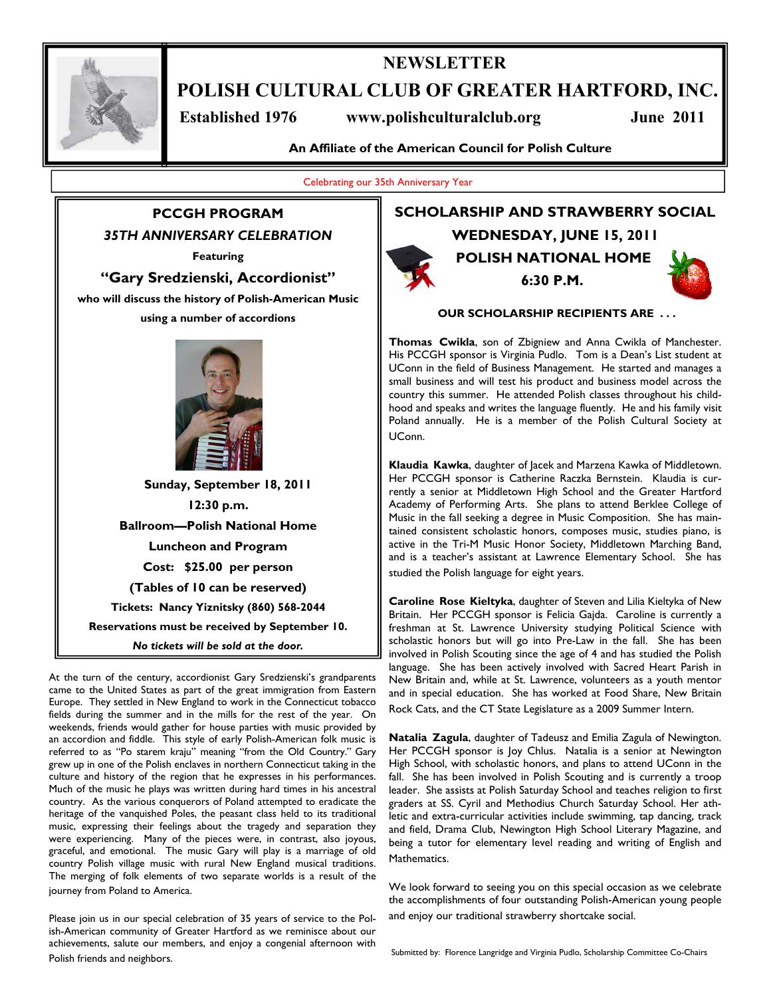

## **NEWSLETTER POLISH CULTURAL CLUB OF GREATER HARTFORD, INC.**

 **Established 1976 www.polishculturalclub.org June 2011** 

**An Affiliate of the American Council for Polish Culture** 

Celebrating our 35th Anniversary Year

#### **PCCGH PROGRAM**

*35TH ANNIVERSARY CELEBRATION* 

**Featuring** 

### **"Gary Sredzienski, Accordionist"**

**who will discuss the history of Polish-American Music using a number of accordions** 



 **Sunday, September 18, 2011 12:30 p.m. Ballroom—Polish National Home Luncheon and Program Cost: \$25.00 per person (Tables of 10 can be reserved) Tickets: Nancy Yiznitsky (860) 568-2044 Reservations must be received by September 10.**  *No tickets will be sold at the door.* 

At the turn of the century, accordionist Gary Sredzienski's grandparents came to the United States as part of the great immigration from Eastern Europe. They settled in New England to work in the Connecticut tobacco fields during the summer and in the mills for the rest of the year. On weekends, friends would gather for house parties with music provided by an accordion and fiddle. This style of early Polish-American folk music is referred to as "Po starem kraju" meaning "from the Old Country." Gary grew up in one of the Polish enclaves in northern Connecticut taking in the culture and history of the region that he expresses in his performances. Much of the music he plays was written during hard times in his ancestral country. As the various conquerors of Poland attempted to eradicate the heritage of the vanquished Poles, the peasant class held to its traditional music, expressing their feelings about the tragedy and separation they were experiencing. Many of the pieces were, in contrast, also joyous, graceful, and emotional. The music Gary will play is a marriage of old country Polish village music with rural New England musical traditions. The merging of folk elements of two separate worlds is a result of the journey from Poland to America.

Please join us in our special celebration of 35 years of service to the Polish-American community of Greater Hartford as we reminisce about our achievements, salute our members, and enjoy a congenial afternoon with Polish friends and neighbors.

### **SCHOLARSHIP AND STRAWBERRY SOCIAL**

 **WEDNESDAY, JUNE 15, 2011 POLISH NATIONAL HOME 6:30 P.M.** 

 **OUR SCHOLARSHIP RECIPIENTS ARE . . .** 

**Thomas Cwikla**, son of Zbigniew and Anna Cwikla of Manchester. His PCCGH sponsor is Virginia Pudlo. Tom is a Dean's List student at UConn in the field of Business Management. He started and manages a small business and will test his product and business model across the country this summer. He attended Polish classes throughout his childhood and speaks and writes the language fluently. He and his family visit Poland annually. He is a member of the Polish Cultural Society at UConn.

**Klaudia Kawka**, daughter of Jacek and Marzena Kawka of Middletown. Her PCCGH sponsor is Catherine Raczka Bernstein. Klaudia is currently a senior at Middletown High School and the Greater Hartford Academy of Performing Arts. She plans to attend Berklee College of Music in the fall seeking a degree in Music Composition. She has maintained consistent scholastic honors, composes music, studies piano, is active in the Tri-M Music Honor Society, Middletown Marching Band, and is a teacher's assistant at Lawrence Elementary School. She has studied the Polish language for eight years.

**Caroline Rose Kieltyka**, daughter of Steven and Lilia Kieltyka of New Britain. Her PCCGH sponsor is Felicia Gajda. Caroline is currently a freshman at St. Lawrence University studying Political Science with scholastic honors but will go into Pre-Law in the fall. She has been involved in Polish Scouting since the age of 4 and has studied the Polish language. She has been actively involved with Sacred Heart Parish in New Britain and, while at St. Lawrence, volunteers as a youth mentor and in special education. She has worked at Food Share, New Britain Rock Cats, and the CT State Legislature as a 2009 Summer Intern.

**Natalia Zagula**, daughter of Tadeusz and Emilia Zagula of Newington. Her PCCGH sponsor is Joy Chlus. Natalia is a senior at Newington High School, with scholastic honors, and plans to attend UConn in the fall. She has been involved in Polish Scouting and is currently a troop leader. She assists at Polish Saturday School and teaches religion to first graders at SS. Cyril and Methodius Church Saturday School. Her athletic and extra-curricular activities include swimming, tap dancing, track and field, Drama Club, Newington High School Literary Magazine, and being a tutor for elementary level reading and writing of English and Mathematics.

We look forward to seeing you on this special occasion as we celebrate the accomplishments of four outstanding Polish-American young people and enjoy our traditional strawberry shortcake social.

Submitted by: Florence Langridge and Virginia Pudlo, Scholarship Committee Co-Chairs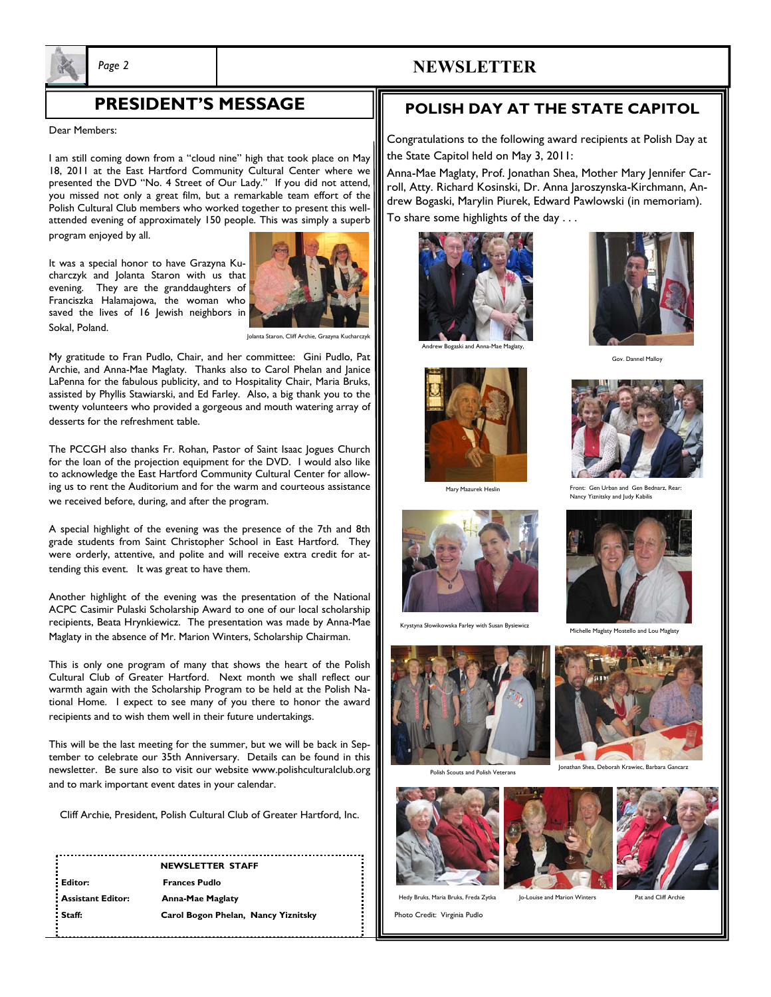

### **PRESIDENT'S MESSAGE**

#### Dear Members:

I am still coming down from a "cloud nine" high that took place on May 18, 2011 at the East Hartford Community Cultural Center where we presented the DVD "No. 4 Street of Our Lady." If you did not attend, you missed not only a great film, but a remarkable team effort of the Polish Cultural Club members who worked together to present this wellattended evening of approximately 150 people. This was simply a superb program enjoyed by all.

It was a special honor to have Grazyna Kucharczyk and Jolanta Staron with us that evening. They are the granddaughters of Franciszka Halamajowa, the woman who saved the lives of 16 Jewish neighbors in Sokal, Poland.



*Page 2* **NEWSLETTER** 

Jolanta Staron, Cliff Archie, Grazyna Kucharczyk

My gratitude to Fran Pudlo, Chair, and her committee: Gini Pudlo, Pat Archie, and Anna-Mae Maglaty. Thanks also to Carol Phelan and Janice LaPenna for the fabulous publicity, and to Hospitality Chair, Maria Bruks, assisted by Phyllis Stawiarski, and Ed Farley. Also, a big thank you to the twenty volunteers who provided a gorgeous and mouth watering array of desserts for the refreshment table.

The PCCGH also thanks Fr. Rohan, Pastor of Saint Isaac Jogues Church for the loan of the projection equipment for the DVD. I would also like to acknowledge the East Hartford Community Cultural Center for allowing us to rent the Auditorium and for the warm and courteous assistance we received before, during, and after the program.

A special highlight of the evening was the presence of the 7th and 8th grade students from Saint Christopher School in East Hartford. They were orderly, attentive, and polite and will receive extra credit for attending this event. It was great to have them.

Another highlight of the evening was the presentation of the National ACPC Casimir Pulaski Scholarship Award to one of our local scholarship recipients, Beata Hrynkiewicz. The presentation was made by Anna-Mae Maglaty in the absence of Mr. Marion Winters, Scholarship Chairman.

This is only one program of many that shows the heart of the Polish Cultural Club of Greater Hartford. Next month we shall reflect our warmth again with the Scholarship Program to be held at the Polish National Home. I expect to see many of you there to honor the award recipients and to wish them well in their future undertakings.

This will be the last meeting for the summer, but we will be back in September to celebrate our 35th Anniversary. Details can be found in this newsletter. Be sure also to visit our website www.polishculturalclub.org and to mark important event dates in your calendar.

Cliff Archie, President, Polish Cultural Club of Greater Hartford, Inc.

# **NEWSLETTER STAFF**

| Editor:           | <b>Frances Pudlo</b>                |
|-------------------|-------------------------------------|
| Assistant Editor: | <b>Anna-Mae Maglaty</b>             |
| Staff:            | Carol Bogon Phelan, Nancy Yiznitsky |

### **POLISH DAY AT THE STATE CAPITOL**

Congratulations to the following award recipients at Polish Day at the State Capitol held on May 3, 2011:

Anna-Mae Maglaty, Prof. Jonathan Shea, Mother Mary Jennifer Carroll, Atty. Richard Kosinski, Dr. Anna Jaroszynska-Kirchmann, Andrew Bogaski, Marylin Piurek, Edward Pawlowski (in memoriam). To share some highlights of the day . . .



Andrew Bogaski and Anna-Mae Maglaty,



Gov. Dannel Malloy



Mary Mazurek Heslin **Front: Gen Urban and Gen Bednarz**,



ska Farley with Susan Bysie



Polish Scouts and Polish Veterans





Jo-Louise and Marion Winters



Hedy Bruks, Maria Bruks, Freda Zytka Pat Lo-Louise and Marion Winters Pat and Cliff Archief Archief Archief Archief Archief Archief Archief Archief Archief Archief Archief Archief Archief Archief Archief Archief Archief Ar

Photo Credit: Virginia Pudlo





Michelle Maglaty Mostello and Lou Maglaty

Nancy Yiznitsky and Judy Kabilis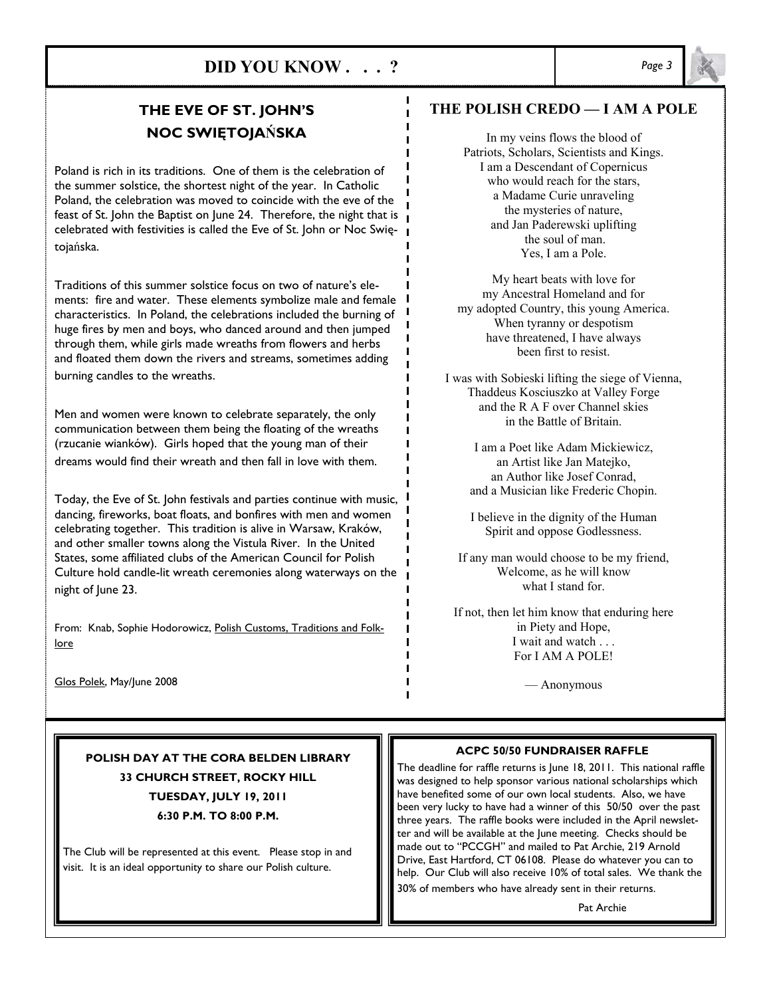### **DID YOU KNOW . . . ?** *Page 3*

### **THE EVE OF ST. JOHN'S NOC SWIĘTOJAŃSKA**

Poland is rich in its traditions. One of them is the celebration of the summer solstice, the shortest night of the year. In Catholic Poland, the celebration was moved to coincide with the eve of the feast of St. John the Baptist on June 24. Therefore, the night that is celebrated with festivities is called the Eve of St. John or Noc Swiętojańska.

Traditions of this summer solstice focus on two of nature's elements: fire and water. These elements symbolize male and female characteristics. In Poland, the celebrations included the burning of huge fires by men and boys, who danced around and then jumped through them, while girls made wreaths from flowers and herbs and floated them down the rivers and streams, sometimes adding burning candles to the wreaths.

Men and women were known to celebrate separately, the only communication between them being the floating of the wreaths (rzucanie wianków). Girls hoped that the young man of their dreams would find their wreath and then fall in love with them.

Today, the Eve of St. John festivals and parties continue with music, dancing, fireworks, boat floats, and bonfires with men and women celebrating together. This tradition is alive in Warsaw, Kraków, and other smaller towns along the Vistula River. In the United States, some affiliated clubs of the American Council for Polish Culture hold candle-lit wreath ceremonies along waterways on the night of June 23.

From: Knab, Sophie Hodorowicz, Polish Customs, Traditions and Folklore

Glos Polek, May/June 2008

### **THE POLISH CREDO — I AM A POLE**

In my veins flows the blood of Patriots, Scholars, Scientists and Kings. I am a Descendant of Copernicus who would reach for the stars, a Madame Curie unraveling the mysteries of nature, and Jan Paderewski uplifting the soul of man. Yes, I am a Pole.

My heart beats with love for my Ancestral Homeland and for my adopted Country, this young America. When tyranny or despotism have threatened, I have always been first to resist.

I was with Sobieski lifting the siege of Vienna, Thaddeus Kosciuszko at Valley Forge and the R A F over Channel skies in the Battle of Britain.

> I am a Poet like Adam Mickiewicz, an Artist like Jan Matejko, an Author like Josef Conrad, and a Musician like Frederic Chopin.

> I believe in the dignity of the Human Spirit and oppose Godlessness.

If any man would choose to be my friend, Welcome, as he will know what I stand for.

If not, then let him know that enduring here in Piety and Hope, I wait and watch . . . For I AM A POLE!

— Anonymous

### **POLISH DAY AT THE CORA BELDEN LIBRARY 33 CHURCH STREET, ROCKY HILL TUESDAY, JULY 19, 2011 6:30 P.M. TO 8:00 P.M.**

The Club will be represented at this event. Please stop in and visit. It is an ideal opportunity to share our Polish culture.

#### **ACPC 50/50 FUNDRAISER RAFFLE**

The deadline for raffle returns is June 18, 2011. This national raffle was designed to help sponsor various national scholarships which have benefited some of our own local students. Also, we have been very lucky to have had a winner of this 50/50 over the past three years. The raffle books were included in the April newsletter and will be available at the June meeting. Checks should be made out to "PCCGH" and mailed to Pat Archie, 219 Arnold Drive, East Hartford, CT 06108. Please do whatever you can to help. Our Club will also receive 10% of total sales. We thank the 30% of members who have already sent in their returns.

Pat Archie